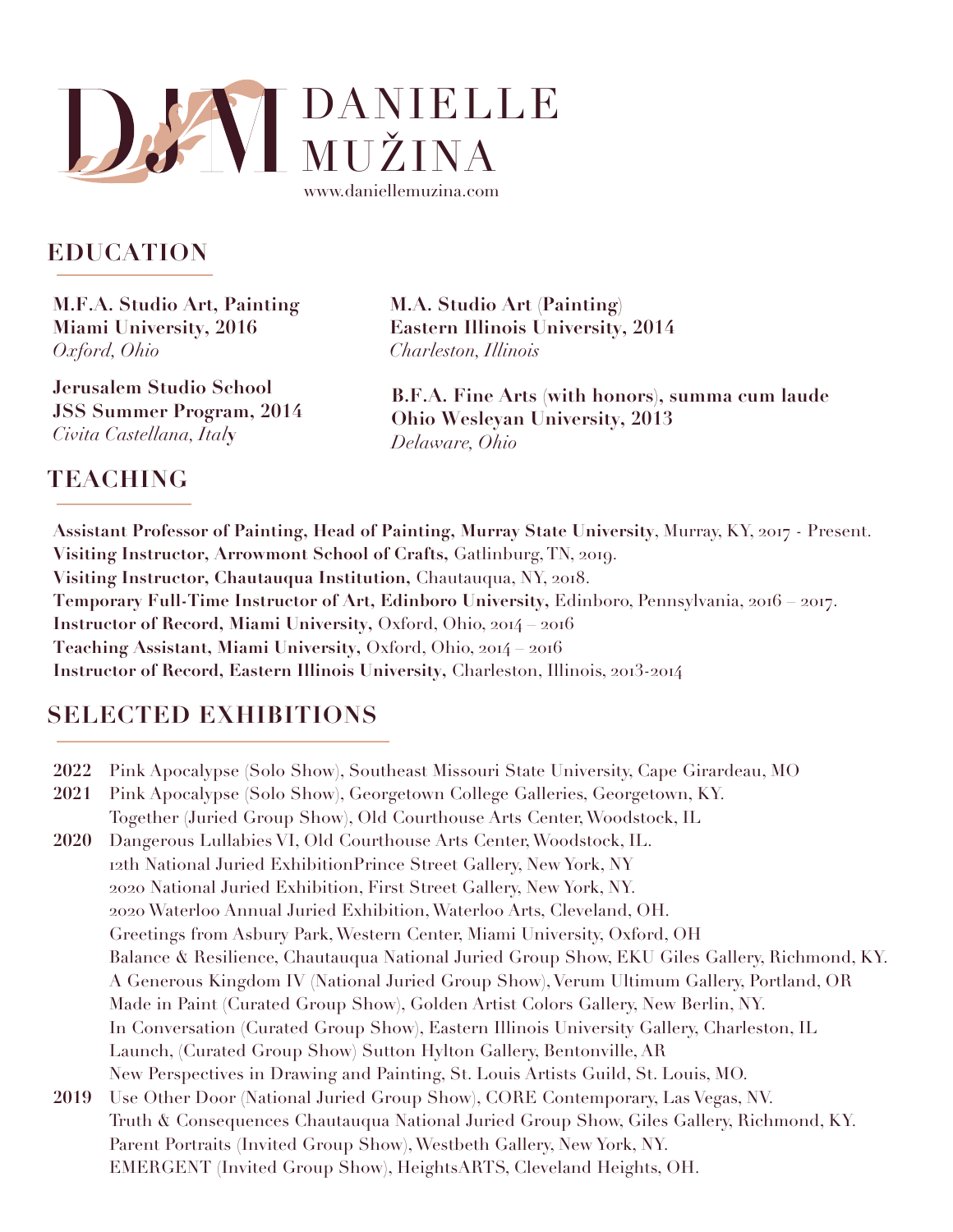

#### **EDUCATION**

**M.F.A. Studio Art, Painting Miami University, 2016** *Oxford, Ohio*

**Jerusalem Studio School JSS Summer Program, 2014**  *Civita Castellana, Ital***y**

**M.A. Studio Art (Painting) Eastern Illinois University, 2014**  *Charleston, Illinois*

**B.F.A. Fine Arts (with honors), summa cum laude Ohio Wesleyan University, 2013** *Delaware, Ohio*

#### **TEACHING**

Assistant Professor of Painting, Head of Painting, Murray State University, Murray, KY, 2017 - Present. Visiting Instructor, Arrowmont School of Crafts, Gatlinburg, TN, 2019. Visiting Instructor, Chautauqua Institution, Chautauqua, NY, 2018. Temporary Full-Time Instructor of Art, Edinboro University, Edinboro, Pennsylvania, 2016 2017. Instructor of Record, Miami University, Oxford, Ohio, 2014 2016 Teaching Assistant, Miami University, Oxford, Ohio, 2014 2016 Instructor of Record, Eastern Illinois University, Charleston, Illinois, 2013-2014

# **SELECTED EXHIBITIONS**

- **2022** Pink Apocalypse (Solo Show), Southeast Missouri State University, Cape Girardeau, MO
- **2021** Pink Apocalypse (Solo Show), Georgetown College Galleries, Georgetown, KY. Together (Juried Group Show), Old Courthouse Arts Center, Woodstock, IL
- **2020** Dangerous Lullabies VI, Old Courthouse Arts Center, Woodstock, IL. 12th National Juried ExhibitionPrince Street Gallery, New York, NY 2020 National Juried Exhibition, First Street Gallery, New York, NY. 2020 Waterloo Annual Juried Exhibition, Waterloo Arts, Cleveland, OH. Greetings from Asbury Park, Western Center, Miami University, Oxford, OH Balance & Resilience, Chautauqua National Juried Group Show, EKU Giles Gallery, Richmond, KY. A Generous Kingdom IV (National Juried Group Show), Verum Ultimum Gallery, Portland, OR Made in Paint (Curated Group Show), Golden Artist Colors Gallery, New Berlin, NY. In Conversation (Curated Group Show), Eastern Illinois University Gallery, Charleston, IL Launch, (Curated Group Show) Sutton Hylton Gallery, Bentonville, AR New Perspectives in Drawing and Painting, St. Louis Artists Guild, St. Louis, MO.
- **2019** Use Other Door (National Juried Group Show), CORE Contemporary, Las Vegas, NV. Truth & Consequences Chautauqua National Juried Group Show, Giles Gallery, Richmond, KY. Parent Portraits (Invited Group Show), Westbeth Gallery, New York, NY. EMERGENT (Invited Group Show), HeightsARTS, Cleveland Heights, OH.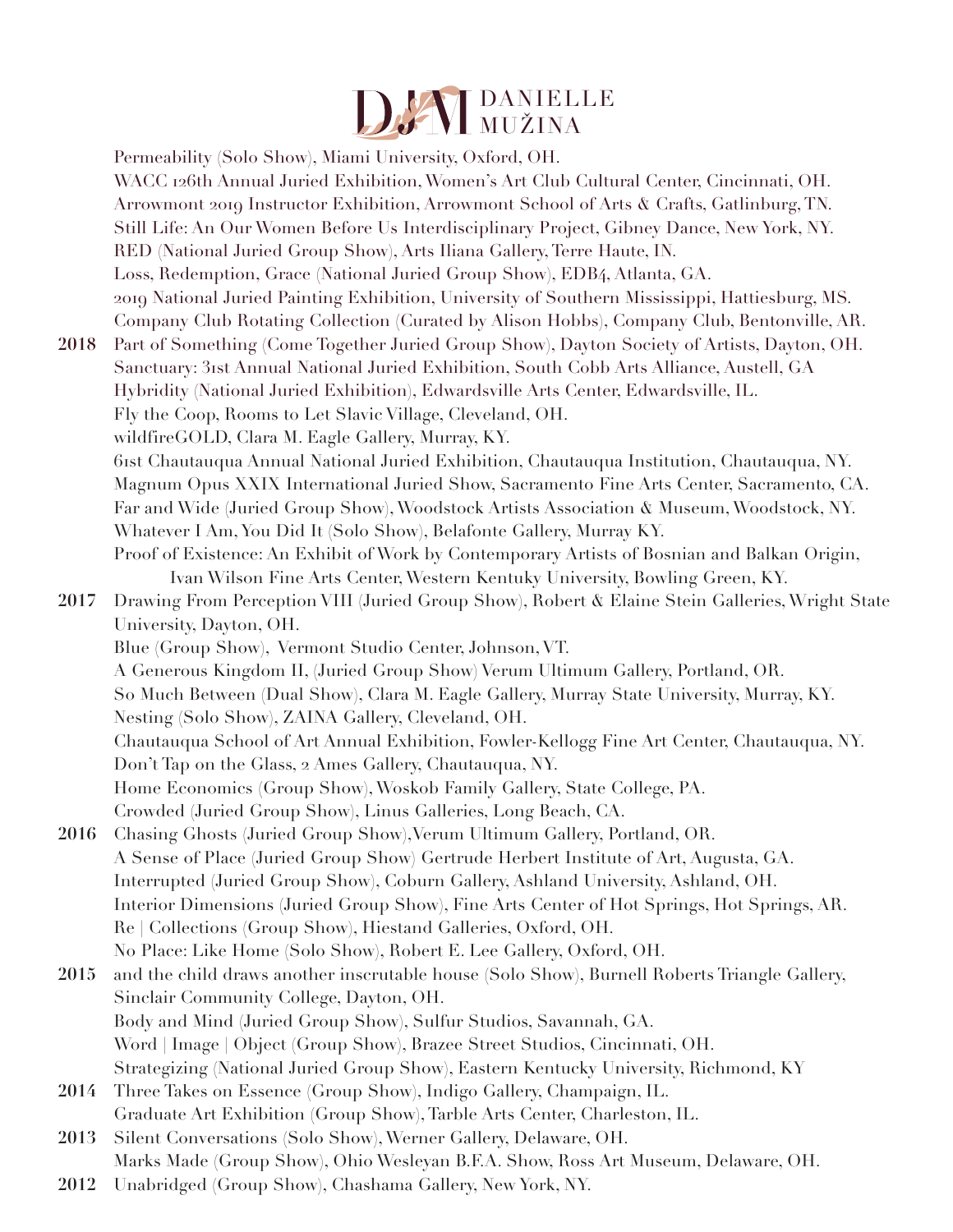

Permeability (Solo Show), Miami University, Oxford, OH. WACC 126th Annual Juried Exhibition, Women's Art Club Cultural Center, Cincinnati, OH. Arrowmont 2019 Instructor Exhibition, Arrowmont School of Arts & Crafts, Gatlinburg, TN. Still Life: An Our Women Before Us Interdisciplinary Project, Gibney Dance, New York, NY. RED (National Juried Group Show), Arts Iliana Gallery, Terre Haute, IN. Loss, Redemption, Grace (National Juried Group Show), EDB4, Atlanta, GA. 2019 National Juried Painting Exhibition, University of Southern Mississippi, Hattiesburg, MS. Company Club Rotating Collection (Curated by Alison Hobbs), Company Club, Bentonville, AR. 2018 Part of Something (Come Together Juried Group Show), Dayton Society of Artists, Dayton, OH. Sanctuary: 3rst Annual National Juried Exhibition, South Cobb Arts Alliance, Austell, GA Hybridity (National Juried Exhibition), Edwardsville Arts Center, Edwardsville, IL. Fly the Coop, Rooms to Let Slavic Village, Cleveland, OH. wildfireGOLD, Clara M. Eagle Gallery, Murray, KY. 6rst Chautauqua Annual National Juried Exhibition, Chautauqua Institution, Chautauqua, NY. Magnum Opus XXIX International Juried Show, Sacramento Fine Arts Center, Sacramento, CA. Far and Wide (Juried Group Show), Woodstock Artists Association & Museum, Woodstock, NY. Whatever I Am, You Did It (Solo Show), Belafonte Gallery, Murray KY. Proof of Existence: An Exhibit of Work by Contemporary Artists of Bosnian and Balkan Origin, Ivan Wilson Fine Arts Center, Western Kentuky University, Bowling Green, KY. 2017 Drawing From Perception VIII (Juried Group Show), Robert & Elaine Stein Galleries, Wright State University, Dayton, OH. Blue (Group Show), Vermont Studio Center, Johnson, VT. A Generous Kingdom II, (Juried Group Show) Verum Ultimum Gallery, Portland, OR. So Much Between (Dual Show), Clara M. Eagle Gallery, Murray State University, Murray, KY. Nesting (Solo Show), ZAINA Gallery, Cleveland, OH. Chautauqua School of Art Annual Exhibition, Fowler-Kellogg Fine Art Center, Chautauqua, NY. Don't Tap on the Glass, 2 Ames Gallery, Chautauqua, NY. Home Economics (Group Show), Woskob Family Gallery, State College, PA. Crowded (Juried Group Show), Linus Galleries, Long Beach, CA. **2016** Chasing Ghosts (Juried Group Show),Verum Ultimum Gallery, Portland, OR. A Sense of Place (Juried Group Show) Gertrude Herbert Institute of Art, Augusta, GA. Interrupted (Juried Group Show), Coburn Gallery, Ashland University, Ashland, OH. Interior Dimensions (Juried Group Show), Fine Arts Center of Hot Springs, Hot Springs, AR. Re | Collections (Group Show), Hiestand Galleries, Oxford, OH. No Place: Like Home (Solo Show), Robert E. Lee Gallery, Oxford, OH. **2015** and the child draws another inscrutable house (Solo Show), Burnell Roberts Triangle Gallery, Sinclair Community College, Dayton, OH. Body and Mind (Juried Group Show), Sulfur Studios, Savannah, GA. Word | Image | Object (Group Show), Brazee Street Studios, Cincinnati, OH. Strategizing (National Juried Group Show), Eastern Kentucky University, Richmond, KY **2014** Three Takes on Essence (Group Show), Indigo Gallery, Champaign, IL. Graduate Art Exhibition (Group Show), Tarble Arts Center, Charleston, IL. 2013 Silent Conversations (Solo Show), Werner Gallery, Delaware, OH. Marks Made (Group Show), Ohio Wesleyan B.F.A. Show, Ross Art Museum, Delaware, OH.

**2012** Unabridged (Group Show), Chashama Gallery, New York, NY.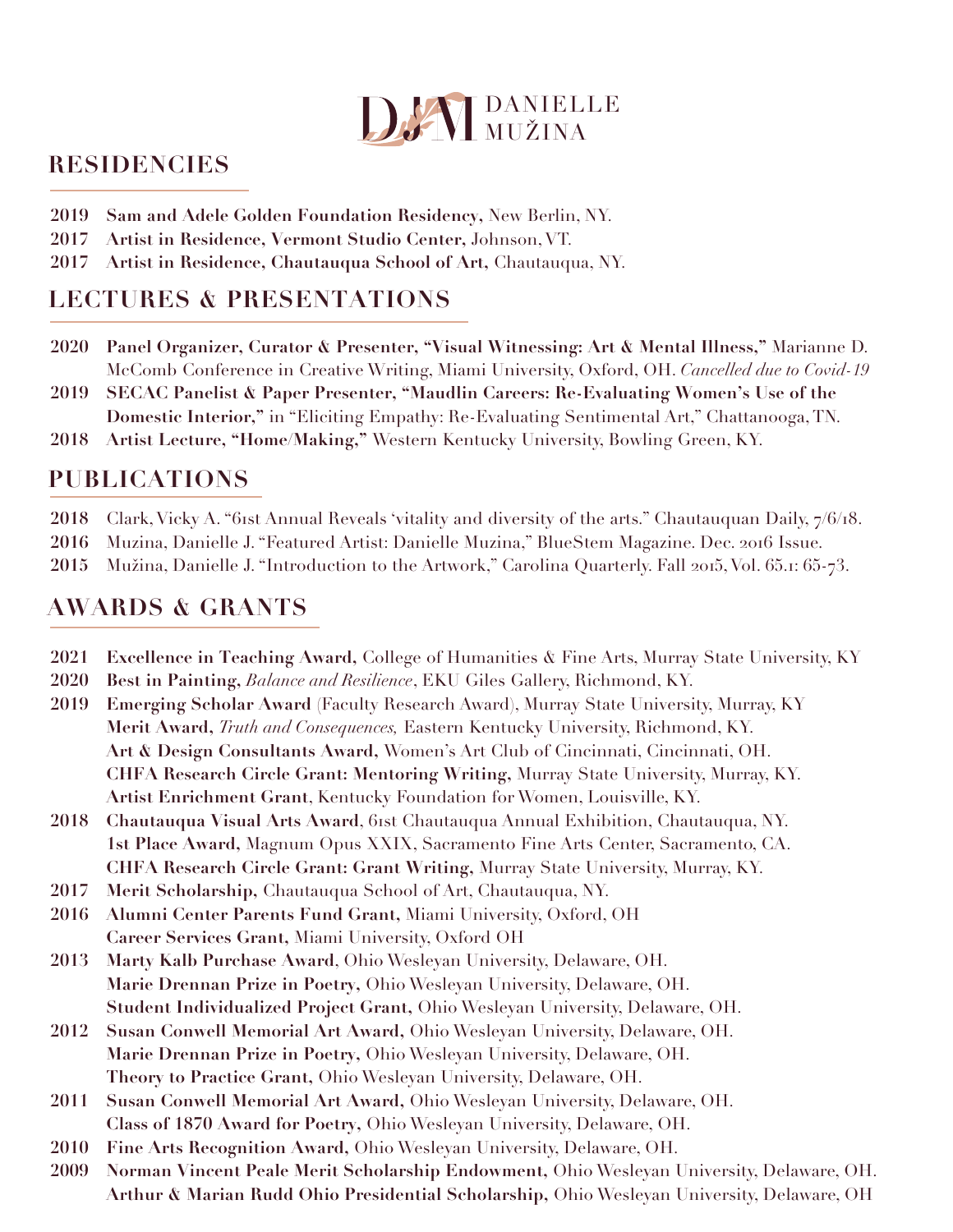

#### **RESIDENCIES**

- 2019 Sam and Adele Golden Foundation Residency, New Berlin, NY.
- Artist in Residence, Vermont Studio Center, Johnson, VT. 2017
- 2017 Artist in Residence, Chautauqua School of Art, Chautauqua, NY.

## **LECTURES & PRESENTATIONS**

- 2020 Panel Organizer, Curator & Presenter, "Visual Witnessing: Art & Mental Illness," Marianne D. McComb Conference in Creative Writing, Miami University, Oxford, OH. Cancelled due to Covid-19
- SECAC Panelist & Paper Presenter, "Maudlin Careers: Re-Evaluating Women's Use of the 2019 Domestic Interior," in "Eliciting Empathy: Re-Evaluating Sentimental Art," Chattanooga, TN.
- 2018 Artist Lecture, "Home/Making," Western Kentucky University, Bowling Green, KY.

### **PUBLICATIONS**

- 2018 Clark, Vicky A. "61st Annual Reveals 'vitality and diversity of the arts." Chautauquan Daily, 7/6/18.
- Muzina, Danielle J. "Featured Artist: Danielle Muzina," BlueStem Magazine. Dec. 2016 Issue. 2016
- Mužina, Danielle J. "Introduction to the Artwork," Carolina Quarterly. Fall 2015, Vol. 65.1: 65-73. 2015

# **AWARDS & GRANTS**

- 2021 **Excellence in Teaching Award, College of Humanities & Fine Arts, Murray State University, KY**
- Best in Painting, Balance and Resilience, EKU Giles Gallery, Richmond, KY. 2020
- Emerging Scholar Award (Faculty Research Award), Murray State University, Murray, KY 2019 Merit Award, Truth and Consequences, Eastern Kentucky University, Richmond, KY. Art & Design Consultants Award, Women's Art Club of Cincinnati, Cincinnati, OH. CHFA Research Circle Grant: Mentoring Writing, Murray State University, Murray, KY. Artist Enrichment Grant, Kentucky Foundation for Women, Louisville, KY.
- 2018 Chautauqua Visual Arts Award, 61st Chautauqua Annual Exhibition, Chautauqua, NY. 1st Place Award, Magnum Opus XXIX, Sacramento Fine Arts Center, Sacramento, CA. CHFA Research Circle Grant: Grant Writing, Murray State University, Murray, KY.
- 2017 Merit Scholarship, Chautauqua School of Art, Chautauqua, NY.
- 2016 Alumni Center Parents Fund Grant, Miami University, Oxford, OH Career Services Grant, Miami University, Oxford OH
- 2013 Marty Kalb Purchase Award, Ohio Wesleyan University, Delaware, OH. Marie Drennan Prize in Poetry, Ohio Wesleyan University, Delaware, OH. Student Individualized Project Grant, Ohio Wesleyan University, Delaware, OH.
- Susan Conwell Memorial Art Award, Ohio Wesleyan University, Delaware, OH. 2012 Marie Drennan Prize in Poetry, Ohio Wesleyan University, Delaware, OH. Theory to Practice Grant, Ohio Wesleyan University, Delaware, OH.
- Susan Conwell Memorial Art Award, Ohio Wesleyan University, Delaware, OH. 2011 Class of 1870 Award for Poetry, Ohio Wesleyan University, Delaware, OH.
- 2010 Fine Arts Recognition Award, Ohio Wesleyan University, Delaware, OH.
- Norman Vincent Peale Merit Scholarship Endowment, Ohio Wesleyan University, Delaware, OH. 2009 Arthur & Marian Rudd Ohio Presidential Scholarship, Ohio Wesleyan University, Delaware, OH